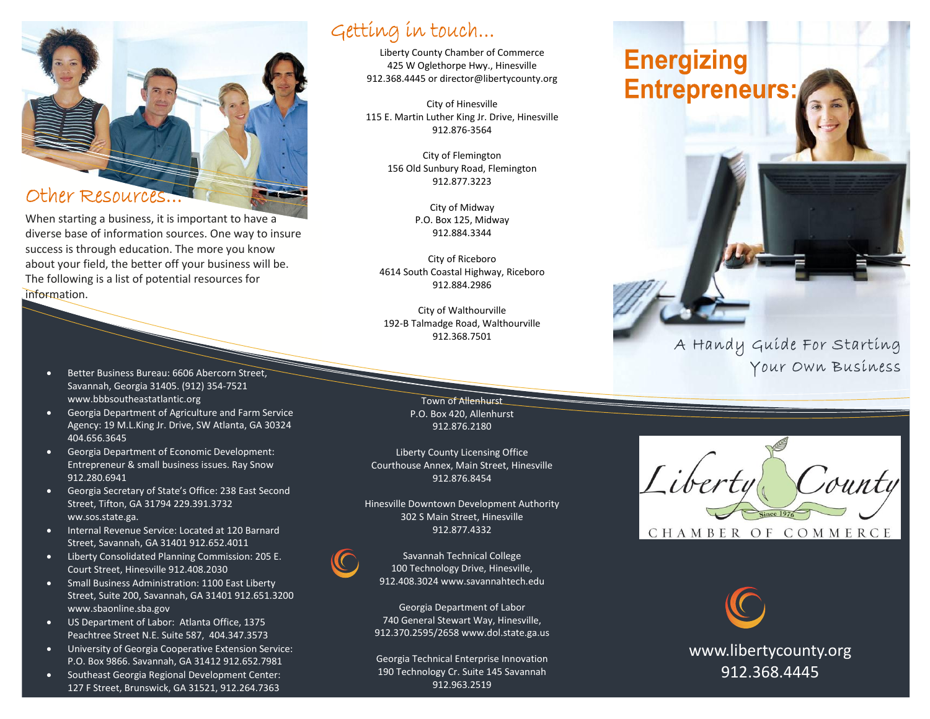

When starting a business, it is important to have a diverse base of information sources. One way to insure success is through education. The more you know about your field, the better off your business will be. The following is a list of potential resources for information.

- **Better Business Bureau: 6606 Abercorn Street,** Savannah, Georgia 31405. (912) 354-7521 [www.bbbsoutheastatlantic.org](http://www.bbbsoutheastatlantic.org/)
- **•** Georgia Department of Agriculture and Farm Service Agency: 19 M.L.King Jr. Drive, SW Atlanta, GA 30324 404.656.3645
- Georgia Department of Economic Development: Entrepreneur & small business issues. Ray Snow 912.280.6941
- Georgia Secretary of State's Office: 238 East Second Street, Tifton, GA 31794 229.391.3732 ww.sos.state.ga.
- Internal Revenue Service: Located at 120 Barnard Street, Savannah, GA 31401 912.652.4011
- Liberty Consolidated Planning Commission: 205 E. Court Street, Hinesville 912.408.2030
- Small Business Administration: 1100 East Liberty Street, Suite 200, Savannah, GA 31401 912.651.3200 [www.sbaonline.sba.gov](http://www.sbaonline.sba.gov/)
- US Department of Labor: Atlanta Office, 1375 Peachtree Street N.E. Suite 587, 404.347.3573
- University of Georgia Cooperative Extension Service: P.O. Box 9866. Savannah, GA 31412 912.652.7981
- Southeast Georgia Regional Development Center: 127 F Street, Brunswick, GA 31521, 912.264.7363

## Getting in touch...

Liberty County Chamber of Commerce 425 W Oglethorpe Hwy., Hinesville 912.368.4445 o[r director@libertycounty.org](mailto:director@libertycounty.org)

City of Hinesville 115 E. Martin Luther King Jr. Drive, Hinesville 912.876-3564

> City of Flemington 156 Old Sunbury Road, Flemington 912.877.3223

> > City of Midway P.O. Box 125, Midway 912.884.3344

City of Riceboro 4614 South Coastal Highway, Riceboro 912.884.2986

City of Walthourville 192-B Talmadge Road, Walthourville 912.368.7501

> Town of Allenhurst P.O. Box 420, Allenhurst 912.876.2180

Liberty County Licensing Office Courthouse Annex, Main Street, Hinesville 912.876.8454

Hinesville Downtown Development Authority 302 S Main Street, Hinesville 912.877.4332



Savannah Technical College 100 Technology Drive, Hinesville, 912.408.3024 www.savannahtech.edu

Georgia Department of Labor 740 General Stewart Way, Hinesville, 912.370.2595/2658 www.dol.state.ga.us

Georgia Technical Enterprise Innovation 190 Technology Cr. Suite 145 Savannah 912.963.2519

# **Energizing Entrepreneurs:**







[www.libertycounty.org](http://www.libertycounty.org/) 912.368.4445